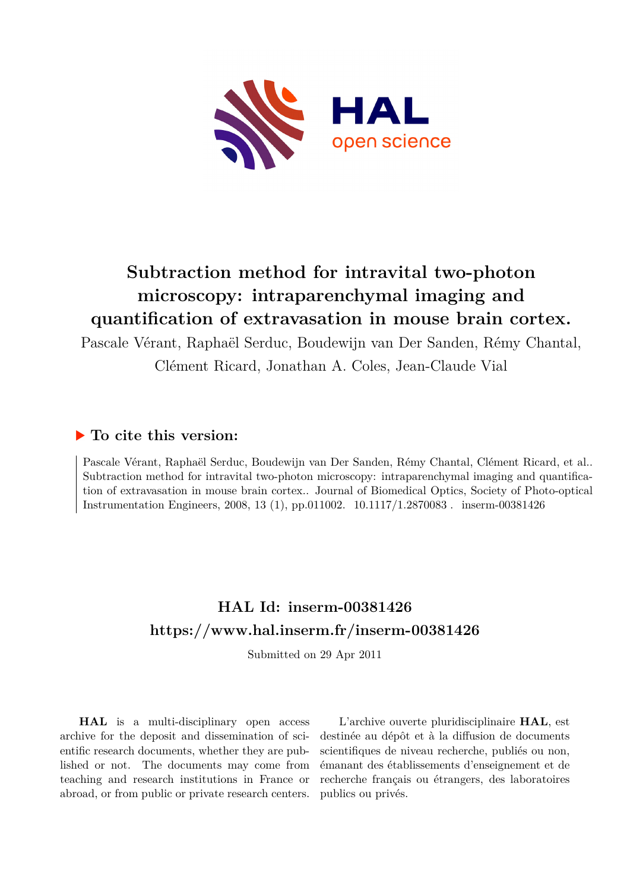

## **Subtraction method for intravital two-photon microscopy: intraparenchymal imaging and quantification of extravasation in mouse brain cortex.**

Pascale Vérant, Raphaël Serduc, Boudewijn van Der Sanden, Rémy Chantal,

Clément Ricard, Jonathan A. Coles, Jean-Claude Vial

## **To cite this version:**

Pascale Vérant, Raphaël Serduc, Boudewijn van Der Sanden, Rémy Chantal, Clément Ricard, et al.. Subtraction method for intravital two-photon microscopy: intraparenchymal imaging and quantification of extravasation in mouse brain cortex.. Journal of Biomedical Optics, Society of Photo-optical Instrumentation Engineers, 2008, 13 (1), pp.011002.  $10.1117/1.2870083$ . inserm-00381426

## **HAL Id: inserm-00381426 <https://www.hal.inserm.fr/inserm-00381426>**

Submitted on 29 Apr 2011

**HAL** is a multi-disciplinary open access archive for the deposit and dissemination of scientific research documents, whether they are published or not. The documents may come from teaching and research institutions in France or abroad, or from public or private research centers.

L'archive ouverte pluridisciplinaire **HAL**, est destinée au dépôt et à la diffusion de documents scientifiques de niveau recherche, publiés ou non, émanant des établissements d'enseignement et de recherche français ou étrangers, des laboratoires publics ou privés.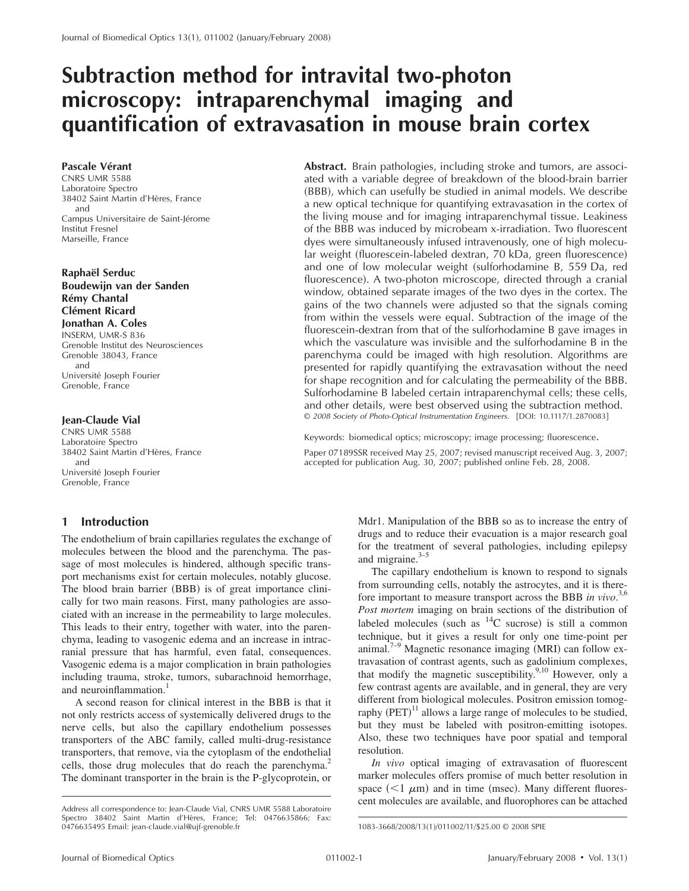# **Subtraction method for intravital two-photon microscopy: intraparenchymal imaging and quantification of extravasation in mouse brain cortex**

## **Pascale Vérant**

CNRS UMR 5588 Laboratoire Spectro 38402 Saint Martin d'Hères, France and Campus Universitaire de Saint-Jérome Institut Fresnel Marseille, France

## **Raphaël Serduc Boudewijn van der Sanden Rémy Chantal Clément Ricard Jonathan A. Coles**

INSERM, UMR-S 836 Grenoble Institut des Neurosciences Grenoble 38043, France and Université Joseph Fourier Grenoble, France

#### **Jean-Claude Vial**

CNRS UMR 5588 Laboratoire Spectro 38402 Saint Martin d'Hères, France and Université Joseph Fourier Grenoble, France

## **1 Introduction**

The endothelium of brain capillaries regulates the exchange of molecules between the blood and the parenchyma. The passage of most molecules is hindered, although specific transport mechanisms exist for certain molecules, notably glucose. The blood brain barrier (BBB) is of great importance clinically for two main reasons. First, many pathologies are associated with an increase in the permeability to large molecules. This leads to their entry, together with water, into the parenchyma, leading to vasogenic edema and an increase in intracranial pressure that has harmful, even fatal, consequences. Vasogenic edema is a major complication in brain pathologies including trauma, stroke, tumors, subarachnoid hemorrhage, and neuroinflammation.

A second reason for clinical interest in the BBB is that it not only restricts access of systemically delivered drugs to the nerve cells, but also the capillary endothelium possesses transporters of the ABC family, called multi-drug-resistance transporters, that remove, via the cytoplasm of the endothelial cells, those drug molecules that do reach the parenchyma.<sup>2</sup> The dominant transporter in the brain is the P-glycoprotein, or

**Abstract.** Brain pathologies, including stroke and tumors, are associated with a variable degree of breakdown of the blood-brain barrier (BBB), which can usefully be studied in animal models. We describe a new optical technique for quantifying extravasation in the cortex of the living mouse and for imaging intraparenchymal tissue. Leakiness of the BBB was induced by microbeam x-irradiation. Two fluorescent dyes were simultaneously infused intravenously, one of high molecular weight (fluorescein-labeled dextran, 70 kDa, green fluorescence) and one of low molecular weight (sulforhodamine B, 559 Da, red fluorescence). A two-photon microscope, directed through a cranial window, obtained separate images of the two dyes in the cortex. The gains of the two channels were adjusted so that the signals coming from within the vessels were equal. Subtraction of the image of the fluorescein-dextran from that of the sulforhodamine B gave images in which the vasculature was invisible and the sulforhodamine B in the parenchyma could be imaged with high resolution. Algorithms are presented for rapidly quantifying the extravasation without the need for shape recognition and for calculating the permeability of the BBB. Sulforhodamine B labeled certain intraparenchymal cells; these cells, and other details, were best observed using the subtraction method. © 2008 Society of Photo-Optical Instrumentation Engineers. [DOI: 10.1117/1.2870083]

Keywords: biomedical optics; microscopy; image processing; fluorescence.

Paper 07189SSR received May 25, 2007; revised manuscript received Aug. 3, 2007; accepted for publication Aug. 30, 2007; published online Feb. 28, 2008.

> Mdr1. Manipulation of the BBB so as to increase the entry of drugs and to reduce their evacuation is a major research goal for the treatment of several pathologies, including epilepsy and migraine. $3-5$

> The capillary endothelium is known to respond to signals from surrounding cells, notably the astrocytes, and it is therefore important to measure transport across the BBB *in vivo*. 3,6 *Post mortem* imaging on brain sections of the distribution of labeled molecules (such as  $^{14}$ C sucrose) is still a common technique, but it gives a result for only one time-point per animal.<sup>7-9</sup> Magnetic resonance imaging (MRI) can follow extravasation of contrast agents, such as gadolinium complexes, that modify the magnetic susceptibility.9,10 However, only a few contrast agents are available, and in general, they are very different from biological molecules. Positron emission tomography  $(PET)^{11}$  allows a large range of molecules to be studied, but they must be labeled with positron-emitting isotopes. Also, these two techniques have poor spatial and temporal resolution.

> *In vivo* optical imaging of extravasation of fluorescent marker molecules offers promise of much better resolution in space  $(< 1 \mu m)$  and in time (msec). Many different fluorescent molecules are available, and fluorophores can be attached

Address all correspondence to: Jean-Claude Vial, CNRS UMR 5588 Laboratoire Spectro 38402 Saint Martin d'Hères, France; Tel: 0476635866; Fax: 0476635495 Email: jean-claude.vial@ujf-grenoble.fr

<sup>1083-3668/2008/13(1)/011002/11/\$25.00 © 2008</sup> SPIE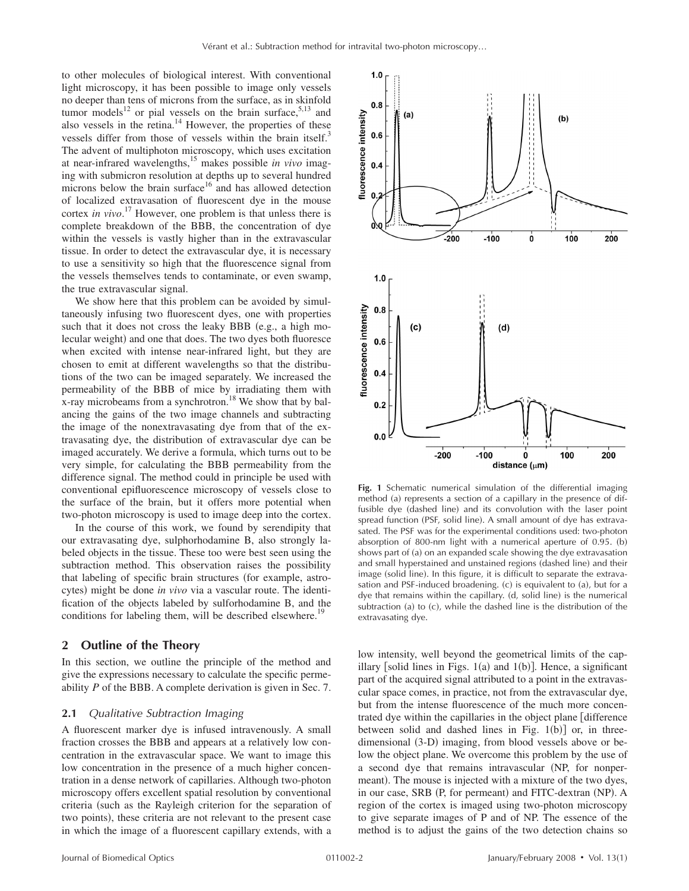to other molecules of biological interest. With conventional light microscopy, it has been possible to image only vessels no deeper than tens of microns from the surface, as in skinfold tumor models<sup>12</sup> or pial vessels on the brain surface,<sup>5,13</sup> and also vessels in the retina.<sup>14</sup> However, the properties of these vessels differ from those of vessels within the brain itself.<sup>3</sup> The advent of multiphoton microscopy, which uses excitation at near-infrared wavelengths,15 makes possible *in vivo* imaging with submicron resolution at depths up to several hundred microns below the brain surface<sup>16</sup> and has allowed detection of localized extravasation of fluorescent dye in the mouse cortex *in vivo*. <sup>17</sup> However, one problem is that unless there is complete breakdown of the BBB, the concentration of dye within the vessels is vastly higher than in the extravascular tissue. In order to detect the extravascular dye, it is necessary to use a sensitivity so high that the fluorescence signal from the vessels themselves tends to contaminate, or even swamp, the true extravascular signal.

We show here that this problem can be avoided by simultaneously infusing two fluorescent dyes, one with properties such that it does not cross the leaky BBB (e.g., a high molecular weight) and one that does. The two dyes both fluoresce when excited with intense near-infrared light, but they are chosen to emit at different wavelengths so that the distributions of the two can be imaged separately. We increased the permeability of the BBB of mice by irradiating them with  $x$ -ray microbeams from a synchrotron.<sup>18</sup> We show that by balancing the gains of the two image channels and subtracting the image of the nonextravasating dye from that of the extravasating dye, the distribution of extravascular dye can be imaged accurately. We derive a formula, which turns out to be very simple, for calculating the BBB permeability from the difference signal. The method could in principle be used with conventional epifluorescence microscopy of vessels close to the surface of the brain, but it offers more potential when two-photon microscopy is used to image deep into the cortex.

In the course of this work, we found by serendipity that our extravasating dye, sulphorhodamine B, also strongly labeled objects in the tissue. These too were best seen using the subtraction method. This observation raises the possibility that labeling of specific brain structures (for example, astrocytes) might be done *in vivo* via a vascular route. The identification of the objects labeled by sulforhodamine B, and the conditions for labeling them, will be described elsewhere.<sup>19</sup>

## **2 Outline of the Theory**

In this section, we outline the principle of the method and give the expressions necessary to calculate the specific permeability *P* of the BBB. A complete derivation is given in Sec. 7.

#### **2.1** *Qualitative Subtraction Imaging*

A fluorescent marker dye is infused intravenously. A small fraction crosses the BBB and appears at a relatively low concentration in the extravascular space. We want to image this low concentration in the presence of a much higher concentration in a dense network of capillaries. Although two-photon microscopy offers excellent spatial resolution by conventional criteria (such as the Rayleigh criterion for the separation of two points), these criteria are not relevant to the present case in which the image of a fluorescent capillary extends, with a



**Fig. 1** Schematic numerical simulation of the differential imaging method (a) represents a section of a capillary in the presence of diffusible dye (dashed line) and its convolution with the laser point spread function (PSF, solid line). A small amount of dye has extravasated. The PSF was for the experimental conditions used: two-photon absorption of 800-nm light with a numerical aperture of 0.95.  $(b)$ shows part of (a) on an expanded scale showing the dye extravasation and small hyperstained and unstained regions (dashed line) and their image (solid line). In this figure, it is difficult to separate the extravasation and PSF-induced broadening. (c) is equivalent to (a), but for a dye that remains within the capillary. (d, solid line) is the numerical subtraction (a) to (c), while the dashed line is the distribution of the extravasating dye.

low intensity, well beyond the geometrical limits of the capillary [solid lines in Figs.  $1(a)$  and  $1(b)$ ]. Hence, a significant part of the acquired signal attributed to a point in the extravascular space comes, in practice, not from the extravascular dye, but from the intense fluorescence of the much more concentrated dye within the capillaries in the object plane difference between solid and dashed lines in Fig.  $1(b)$ ] or, in threedimensional (3-D) imaging, from blood vessels above or below the object plane. We overcome this problem by the use of a second dye that remains intravascular (NP, for nonpermeant). The mouse is injected with a mixture of the two dyes, in our case, SRB (P, for permeant) and FITC-dextran (NP). A region of the cortex is imaged using two-photon microscopy to give separate images of P and of NP. The essence of the method is to adjust the gains of the two detection chains so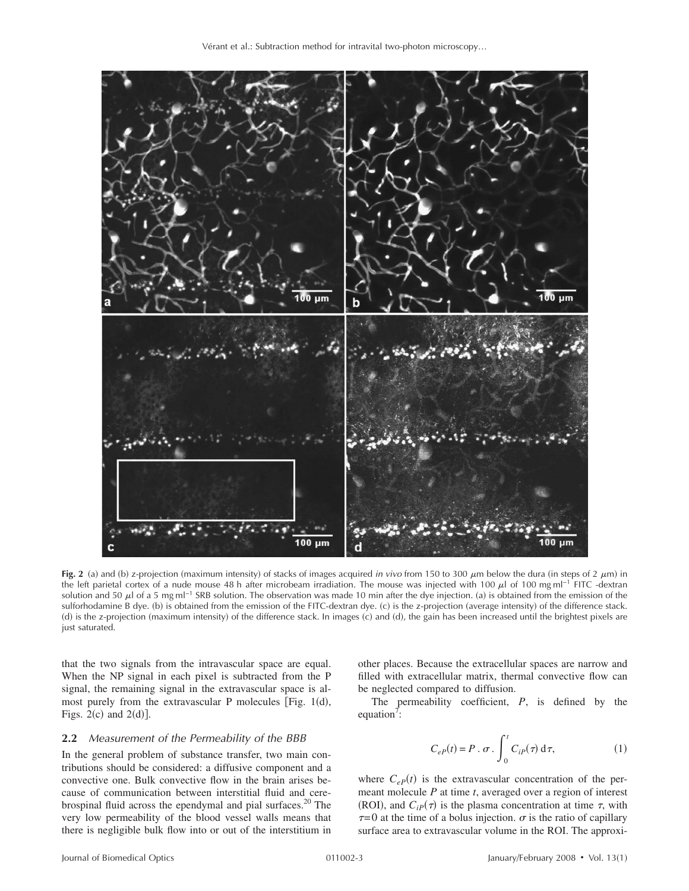

**Fig. 2** (a) and (b) z-projection (maximum intensity) of stacks of images acquired *in vivo* from 150 to 300  $\mu$ m below the dura (in steps of 2  $\mu$ m) in the left parietal cortex of a nude mouse 48 h after microbeam irradiation. The mouse was injected with 100 µl of 100 mg ml<sup>-1</sup> FITC -dextran solution and 50  $\mu$ l of a 5 mg ml<sup>-1</sup> SRB solution. The observation was made 10 min after the dye injection. (a) is obtained from the emission of the sulforhodamine B dye. (b) is obtained from the emission of the FITC-dextran dye. (c) is the z-projection (average intensity) of the difference stack. (d) is the z-projection (maximum intensity) of the difference stack. In images (c) and (d), the gain has been increased until the brightest pixels are just saturated.

that the two signals from the intravascular space are equal. When the NP signal in each pixel is subtracted from the P signal, the remaining signal in the extravascular space is almost purely from the extravascular P molecules [Fig. 1(d), Figs.  $2(c)$  and  $2(d)$ ].

#### **2.2** *Measurement of the Permeability of the BBB*

In the general problem of substance transfer, two main contributions should be considered: a diffusive component and a convective one. Bulk convective flow in the brain arises because of communication between interstitial fluid and cerebrospinal fluid across the ependymal and pial surfaces. $^{20}$  The very low permeability of the blood vessel walls means that there is negligible bulk flow into or out of the interstitium in

other places. Because the extracellular spaces are narrow and filled with extracellular matrix, thermal convective flow can be neglected compared to diffusion.

The permeability coefficient, *P*, is defined by the equation<sup>7</sup>:

$$
C_{eP}(t) = P \cdot \sigma \cdot \int_0^t C_{iP}(\tau) d\tau,
$$
 (1)

where  $C_{eP}(t)$  is the extravascular concentration of the permeant molecule *P* at time *t*, averaged over a region of interest (ROI), and  $C_{iP}(\tau)$  is the plasma concentration at time  $\tau$ , with  $\tau = 0$  at the time of a bolus injection.  $\sigma$  is the ratio of capillary surface area to extravascular volume in the ROI. The approxi-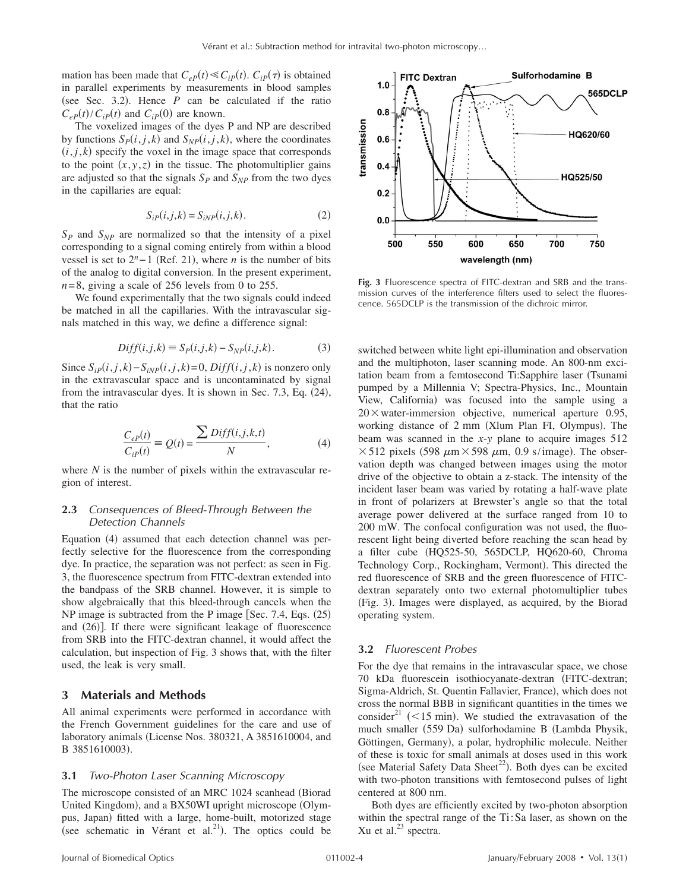mation has been made that  $C_{eP}(t) \ll C_{iP}(t)$ .  $C_{iP}(\tau)$  is obtained in parallel experiments by measurements in blood samples (see Sec. 3.2). Hence  $P$  can be calculated if the ratio  $C_{eP}(t)$  /  $C_{iP}(t)$  and  $C_{iP}(0)$  are known.

The voxelized images of the dyes P and NP are described by functions  $S_P(i, j, k)$  and  $S_{NP}(i, j, k)$ , where the coordinates  $(i, j, k)$  specify the voxel in the image space that corresponds to the point  $(x, y, z)$  in the tissue. The photomultiplier gains are adjusted so that the signals  $S_p$  and  $S_{NP}$  from the two dyes in the capillaries are equal:

$$
S_{iP}(i,j,k) = S_{iNP}(i,j,k).
$$
 (2)

 $S_p$  and  $S_{NP}$  are normalized so that the intensity of a pixel corresponding to a signal coming entirely from within a blood vessel is set to  $2<sup>n</sup> - 1$  (Ref. 21), where *n* is the number of bits of the analog to digital conversion. In the present experiment,  $n=8$ , giving a scale of 256 levels from 0 to 255.

We found experimentally that the two signals could indeed be matched in all the capillaries. With the intravascular signals matched in this way, we define a difference signal:

$$
Diff(i,j,k) \equiv S_P(i,j,k) - S_{NP}(i,j,k).
$$
 (3)

Since  $S_{i}P(i, j, k) - S_{iNP}(i, j, k) = 0$ ,  $Diff(i, j, k)$  is nonzero only in the extravascular space and is uncontaminated by signal from the intravascular dyes. It is shown in Sec. 7.3, Eq. (24), that the ratio

$$
\frac{C_{eP}(t)}{C_{iP}(t)} \equiv Q(t) = \frac{\sum \text{Diff}(i,j,k,t)}{N},\tag{4}
$$

where *N* is the number of pixels within the extravascular region of interest.

### **2.3** *Consequences of Bleed-Through Between the Detection Channels*

Equation (4) assumed that each detection channel was perfectly selective for the fluorescence from the corresponding dye. In practice, the separation was not perfect: as seen in Fig. 3, the fluorescence spectrum from FITC-dextran extended into the bandpass of the SRB channel. However, it is simple to show algebraically that this bleed-through cancels when the NP image is subtracted from the P image [Sec.  $7.4$ , Eqs.  $(25)$ and (26)]. If there were significant leakage of fluorescence from SRB into the FITC-dextran channel, it would affect the calculation, but inspection of Fig. 3 shows that, with the filter used, the leak is very small.

## **3 Materials and Methods**

All animal experiments were performed in accordance with the French Government guidelines for the care and use of laboratory animals License Nos. 380321, A 3851610004, and B 3851610003).

#### **3.1** *Two-Photon Laser Scanning Microscopy*

The microscope consisted of an MRC 1024 scanhead (Biorad United Kingdom), and a BX50WI upright microscope (Olympus, Japan) fitted with a large, home-built, motorized stage (see schematic in Vérant et al.<sup>21</sup>). The optics could be



**Fig. 3** Fluorescence spectra of FITC-dextran and SRB and the transmission curves of the interference filters used to select the fluorescence. 565DCLP is the transmission of the dichroic mirror.

switched between white light epi-illumination and observation and the multiphoton, laser scanning mode. An 800-nm excitation beam from a femtosecond Ti:Sapphire laser (Tsunami pumped by a Millennia V; Spectra-Physics, Inc., Mountain View, California) was focused into the sample using a  $20 \times$  water-immersion objective, numerical aperture 0.95, working distance of 2 mm (Xlum Plan FI, Olympus). The beam was scanned in the *x*-*y* plane to acquire images 512  $\times$  512 pixels (598  $\mu$ m  $\times$  598  $\mu$ m, 0.9 s/image). The observation depth was changed between images using the motor drive of the objective to obtain a z-stack. The intensity of the incident laser beam was varied by rotating a half-wave plate in front of polarizers at Brewster's angle so that the total average power delivered at the surface ranged from 10 to 200 mW. The confocal configuration was not used, the fluorescent light being diverted before reaching the scan head by a filter cube HQ525-50, 565DCLP, HQ620-60, Chroma Technology Corp., Rockingham, Vermont). This directed the red fluorescence of SRB and the green fluorescence of FITCdextran separately onto two external photomultiplier tubes (Fig. 3). Images were displayed, as acquired, by the Biorad operating system.

#### **3.2** *Fluorescent Probes*

For the dye that remains in the intravascular space, we chose 70 kDa fluorescein isothiocyanate-dextran (FITC-dextran; Sigma-Aldrich, St. Quentin Fallavier, France), which does not cross the normal BBB in significant quantities in the times we consider<sup>21</sup> (<15 min). We studied the extravasation of the much smaller (559 Da) sulforhodamine B (Lambda Physik, Göttingen, Germany), a polar, hydrophilic molecule. Neither of these is toxic for small animals at doses used in this work (see Material Safety Data Sheet<sup>22</sup>). Both dyes can be excited with two-photon transitions with femtosecond pulses of light centered at 800 nm.

Both dyes are efficiently excited by two-photon absorption within the spectral range of the Ti:Sa laser, as shown on the Xu et al. $^{23}$  spectra.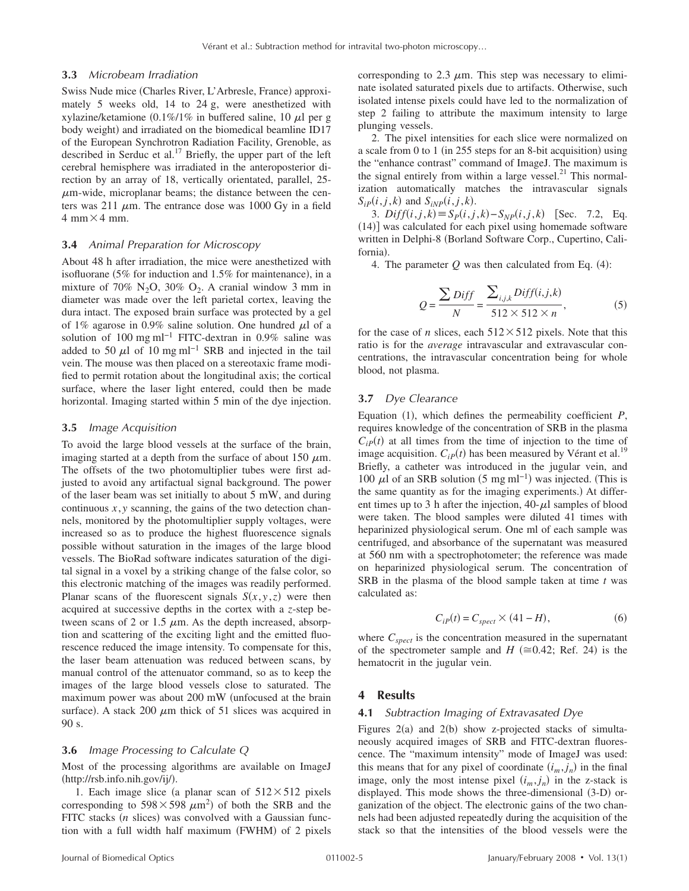#### **3.3** *Microbeam Irradiation*

Swiss Nude mice (Charles River, L'Arbresle, France) approximately 5 weeks old, 14 to 24 g, were anesthetized with xylazine/ketamione (0.1%/1% in buffered saline, 10  $\mu$ l per g body weight) and irradiated on the biomedical beamline ID17 of the European Synchrotron Radiation Facility, Grenoble, as described in Serduc et al.<sup>17</sup> Briefly, the upper part of the left cerebral hemisphere was irradiated in the anteroposterior direction by an array of 18, vertically orientated, parallel, 25-  $\mu$ m-wide, microplanar beams; the distance between the centers was 211  $\mu$ m. The entrance dose was 1000 Gy in a field  $4$  mm $\times$  4 mm.

#### **3.4** *Animal Preparation for Microscopy*

About 48 h after irradiation, the mice were anesthetized with isofluorane (5% for induction and  $1.5%$  for maintenance), in a mixture of 70% N<sub>2</sub>O, 30% O<sub>2</sub>. A cranial window 3 mm in diameter was made over the left parietal cortex, leaving the dura intact. The exposed brain surface was protected by a gel of 1% agarose in 0.9% saline solution. One hundred  $\mu$ l of a solution of 100 mg ml<sup>-1</sup> FITC-dextran in 0.9% saline was added to 50  $\mu$ l of 10 mg ml<sup>-1</sup> SRB and injected in the tail vein. The mouse was then placed on a stereotaxic frame modified to permit rotation about the longitudinal axis; the cortical surface, where the laser light entered, could then be made horizontal. Imaging started within 5 min of the dye injection.

#### **3.5** *Image Acquisition*

To avoid the large blood vessels at the surface of the brain, imaging started at a depth from the surface of about 150  $\mu$ m. The offsets of the two photomultiplier tubes were first adjusted to avoid any artifactual signal background. The power of the laser beam was set initially to about 5 mW, and during continuous  $x, y$  scanning, the gains of the two detection channels, monitored by the photomultiplier supply voltages, were increased so as to produce the highest fluorescence signals possible without saturation in the images of the large blood vessels. The BioRad software indicates saturation of the digital signal in a voxel by a striking change of the false color, so this electronic matching of the images was readily performed. Planar scans of the fluorescent signals  $S(x, y, z)$  were then acquired at successive depths in the cortex with a *z*-step between scans of 2 or 1.5  $\mu$ m. As the depth increased, absorption and scattering of the exciting light and the emitted fluorescence reduced the image intensity. To compensate for this, the laser beam attenuation was reduced between scans, by manual control of the attenuator command, so as to keep the images of the large blood vessels close to saturated. The maximum power was about 200 mW (unfocused at the brain surface). A stack 200  $\mu$ m thick of 51 slices was acquired in 90 s.

#### **3.6** *Image Processing to Calculate Q*

Most of the processing algorithms are available on ImageJ (http://rsb.info.nih.gov/ij/).

1. Each image slice (a planar scan of  $512\times512$  pixels corresponding to  $598 \times 598 \ \mu \text{m}^2$  of both the SRB and the FITC stacks (*n* slices) was convolved with a Gaussian function with a full width half maximum (FWHM) of 2 pixels

corresponding to 2.3  $\mu$ m. This step was necessary to eliminate isolated saturated pixels due to artifacts. Otherwise, such isolated intense pixels could have led to the normalization of step 2 failing to attribute the maximum intensity to large plunging vessels.

2. The pixel intensities for each slice were normalized on a scale from 0 to 1 (in 255 steps for an 8-bit acquisition) using the "enhance contrast" command of ImageJ. The maximum is the signal entirely from within a large vessel. $^{21}$  This normalization automatically matches the intravascular signals  $S_{iP}(i,j,k)$  and  $S_{iNP}(i,j,k)$ .

3. *Diff*(*i*, *j*,*k*) =  $S_P(i, j, k) - S_{NP}(i, j, k)$  [Sec. 7.2, Eq. (14)] was calculated for each pixel using homemade software written in Delphi-8 (Borland Software Corp., Cupertino, California).

4. The parameter  $Q$  was then calculated from Eq.  $(4)$ :

$$
Q = \frac{\sum \text{Diff}}{N} = \frac{\sum_{i,j,k} \text{Diff}(i,j,k)}{512 \times 512 \times n},\tag{5}
$$

for the case of *n* slices, each  $512 \times 512$  pixels. Note that this ratio is for the *average* intravascular and extravascular concentrations, the intravascular concentration being for whole blood, not plasma.

#### **3.7** *Dye Clearance*

Equation  $(1)$ , which defines the permeability coefficient  $P$ , requires knowledge of the concentration of SRB in the plasma  $C_{iP}(t)$  at all times from the time of injection to the time of image acquisition.  $C_{iP}(t)$  has been measured by Vérant et al.<sup>19</sup> Briefly, a catheter was introduced in the jugular vein, and 100  $\mu$ l of an SRB solution (5 mg ml<sup>-1</sup>) was injected. (This is the same quantity as for the imaging experiments.) At different times up to 3 h after the injection,  $40-\mu l$  samples of blood were taken. The blood samples were diluted 41 times with heparinized physiological serum. One ml of each sample was centrifuged, and absorbance of the supernatant was measured at 560 nm with a spectrophotometer; the reference was made on heparinized physiological serum. The concentration of SRB in the plasma of the blood sample taken at time *t* was calculated as:

$$
C_{iP}(t) = C_{spect} \times (41 - H), \tag{6}
$$

where  $C_{spect}$  is the concentration measured in the supernatant of the spectrometer sample and  $H$  ( $\approx$  0.42; Ref. 24) is the hematocrit in the jugular vein.

#### **4 Results**

#### **4.1** *Subtraction Imaging of Extravasated Dye*

Figures  $2(a)$  and  $2(b)$  show z-projected stacks of simultaneously acquired images of SRB and FITC-dextran fluorescence. The "maximum intensity" mode of ImageJ was used: this means that for any pixel of coordinate  $(i_m, j_n)$  in the final image, only the most intense pixel  $(i_m, j_n)$  in the z-stack is displayed. This mode shows the three-dimensional (3-D) organization of the object. The electronic gains of the two channels had been adjusted repeatedly during the acquisition of the stack so that the intensities of the blood vessels were the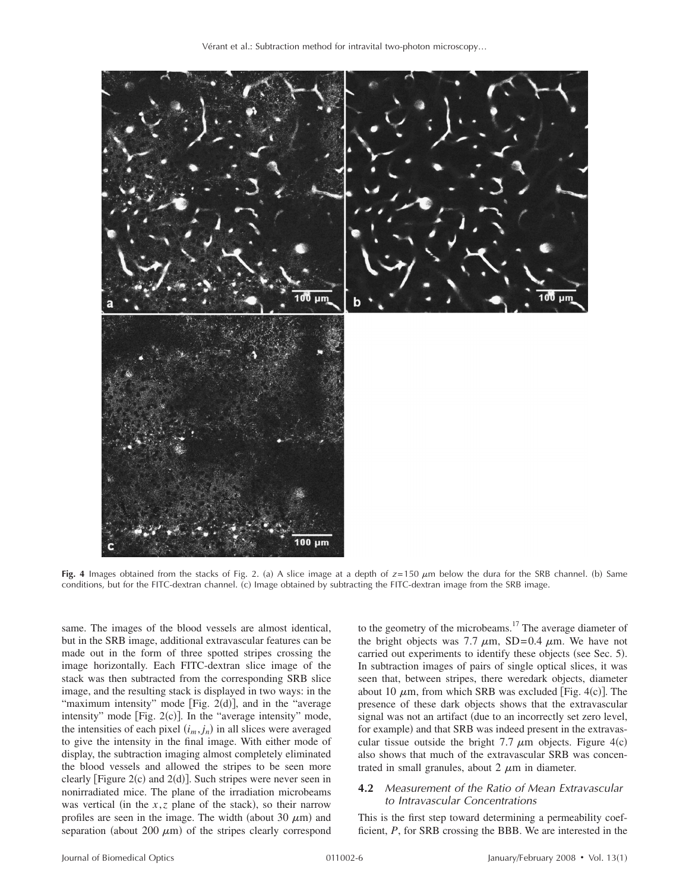

Fig. 4 Images obtained from the stacks of Fig. 2. (a) A slice image at a depth of  $z=150 \ \mu m$  below the dura for the SRB channel. (b) Same conditions, but for the FITC-dextran channel. (c) Image obtained by subtracting the FITC-dextran image from the SRB image.

same. The images of the blood vessels are almost identical, but in the SRB image, additional extravascular features can be made out in the form of three spotted stripes crossing the image horizontally. Each FITC-dextran slice image of the stack was then subtracted from the corresponding SRB slice image, and the resulting stack is displayed in two ways: in the "maximum intensity" mode [Fig. 2(d)], and in the "average intensity" mode [Fig.  $2(c)$ ]. In the "average intensity" mode, the intensities of each pixel  $(i_m, j_n)$  in all slices were averaged to give the intensity in the final image. With either mode of display, the subtraction imaging almost completely eliminated the blood vessels and allowed the stripes to be seen more clearly [Figure  $2(c)$  and  $2(d)$ ]. Such stripes were never seen in nonirradiated mice. The plane of the irradiation microbeams was vertical (in the  $x$ , $z$  plane of the stack), so their narrow profiles are seen in the image. The width (about  $30 \mu m$ ) and separation (about 200  $\mu$ m) of the stripes clearly correspond

to the geometry of the microbeams.<sup>17</sup> The average diameter of the bright objects was 7.7  $\mu$ m, SD=0.4  $\mu$ m. We have not carried out experiments to identify these objects (see Sec. 5). In subtraction images of pairs of single optical slices, it was seen that, between stripes, there weredark objects, diameter about 10  $\mu$ m, from which SRB was excluded [Fig. 4(c)]. The presence of these dark objects shows that the extravascular signal was not an artifact (due to an incorrectly set zero level, for example) and that SRB was indeed present in the extravascular tissue outside the bright 7.7  $\mu$ m objects. Figure 4(c) also shows that much of the extravascular SRB was concentrated in small granules, about  $2 \mu m$  in diameter.

## **4.2** *Measurement of the Ratio of Mean Extravascular to Intravascular Concentrations*

This is the first step toward determining a permeability coefficient, *P*, for SRB crossing the BBB. We are interested in the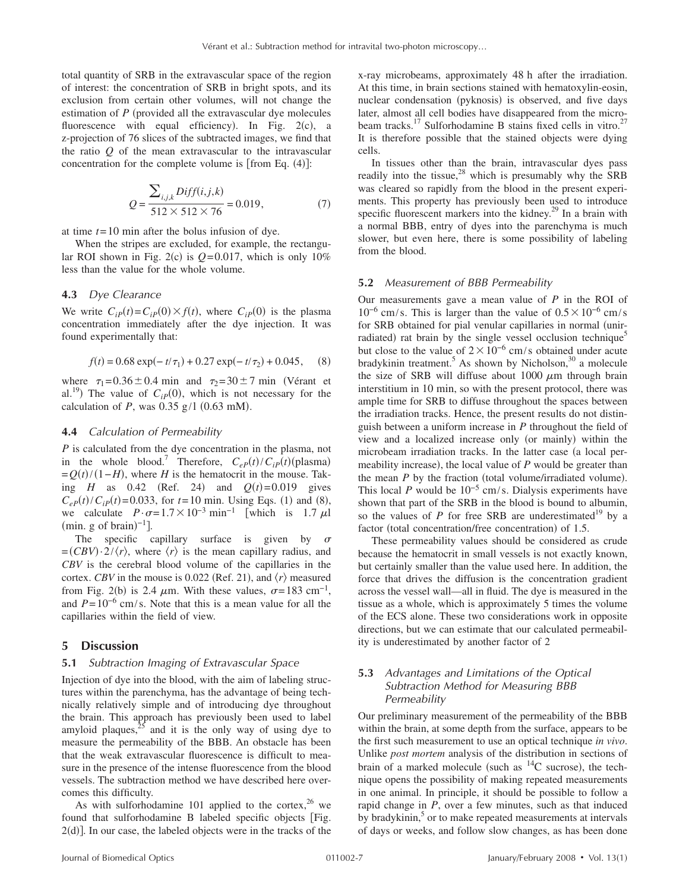total quantity of SRB in the extravascular space of the region of interest: the concentration of SRB in bright spots, and its exclusion from certain other volumes, will not change the estimation of  $P$  (provided all the extravascular dye molecules fluorescence with equal efficiency). In Fig.  $2(c)$ , a z-projection of 76 slices of the subtracted images, we find that the ratio *Q* of the mean extravascular to the intravascular concentration for the complete volume is [from Eq.  $(4)$ ]:

$$
Q = \frac{\sum_{i,j,k} Diff(i,j,k)}{512 \times 512 \times 76} = 0.019, \tag{7}
$$

at time *t*= 10 min after the bolus infusion of dye.

When the stripes are excluded, for example, the rectangular ROI shown in Fig. 2(c) is  $Q=0.017$ , which is only 10% less than the value for the whole volume.

#### **4.3** *Dye Clearance*

We write  $C_{i}P(t) = C_{i}P(0) \times f(t)$ , where  $C_{i}P(0)$  is the plasma concentration immediately after the dye injection. It was found experimentally that:

$$
f(t) = 0.68 \exp(-t/\tau_1) + 0.27 \exp(-t/\tau_2) + 0.045, \quad (8)
$$

where  $\tau_1 = 0.36 \pm 0.4$  min and  $\tau_2 = 30 \pm 7$  min (Vérant et al.<sup>19</sup>) The value of  $C_{iP}(0)$ , which is not necessary for the calculation of  $P$ , was 0.35 g/l (0.63 mM).

#### **4.4** *Calculation of Permeability*

*P* is calculated from the dye concentration in the plasma, not in the whole blood.<sup>7</sup> Therefore,  $C_{eP}(t)/C_{iP}(t)$  (plasma)  $= Q(t)/(1-H)$ , where *H* is the hematocrit in the mouse. Taking *H* as 0.42 (Ref. 24) and  $Q(t) = 0.019$  gives  $C_{eP}(t)$  /  $C_{iP}(t)$  = 0.033, for  $t = 10$  min. Using Eqs. (1) and (8), we calculate  $P \cdot \sigma = 1.7 \times 10^{-3} \text{ min}^{-1}$  [which is 1.7  $\mu$ ]  $(min. g of brain)<sup>-1</sup>$ ].

The specific capillary surface is given by  $\sigma$  $=(CBV)\cdot 2/\langle r\rangle$ , where  $\langle r\rangle$  is the mean capillary radius, and *CBV* is the cerebral blood volume of the capillaries in the cortex. *CBV* in the mouse is 0.022 (Ref. 21), and  $\langle r \rangle$  measured from Fig. 2(b) is 2.4  $\mu$ m. With these values,  $\sigma = 183 \text{ cm}^{-1}$ , and  $P=10^{-6}$  cm/s. Note that this is a mean value for all the capillaries within the field of view.

## **5 Discussion**

## **5.1** *Subtraction Imaging of Extravascular Space*

Injection of dye into the blood, with the aim of labeling structures within the parenchyma, has the advantage of being technically relatively simple and of introducing dye throughout the brain. This approach has previously been used to label amyloid plaques, $^{25}$  and it is the only way of using dye to measure the permeability of the BBB. An obstacle has been that the weak extravascular fluorescence is difficult to measure in the presence of the intense fluorescence from the blood vessels. The subtraction method we have described here overcomes this difficulty.

As with sulforhodamine 101 applied to the cortex,  $26$  we found that sulforhodamine B labeled specific objects [Fig. 2(d)]. In our case, the labeled objects were in the tracks of the x-ray microbeams, approximately 48 h after the irradiation. At this time, in brain sections stained with hematoxylin-eosin, nuclear condensation (pyknosis) is observed, and five days later, almost all cell bodies have disappeared from the microbeam tracks.<sup>17</sup> Sulforhodamine B stains fixed cells in vitro.<sup>27</sup> It is therefore possible that the stained objects were dying cells.

In tissues other than the brain, intravascular dyes pass readily into the tissue,<sup>28</sup> which is presumably why the SRB was cleared so rapidly from the blood in the present experiments. This property has previously been used to introduce specific fluorescent markers into the kidney.<sup>29</sup> In a brain with a normal BBB, entry of dyes into the parenchyma is much slower, but even here, there is some possibility of labeling from the blood.

### **5.2** *Measurement of BBB Permeability*

Our measurements gave a mean value of *P* in the ROI of  $10^{-6}$  cm/s. This is larger than the value of  $0.5 \times 10^{-6}$  cm/s for SRB obtained for pial venular capillaries in normal (unirradiated) rat brain by the single vessel occlusion technique<sup>5</sup> but close to the value of  $2 \times 10^{-6}$  cm/s obtained under acute bradykinin treatment.<sup>5</sup> As shown by Nicholson,<sup>30</sup> a molecule the size of SRB will diffuse about  $1000 \mu m$  through brain interstitium in 10 min, so with the present protocol, there was ample time for SRB to diffuse throughout the spaces between the irradiation tracks. Hence, the present results do not distinguish between a uniform increase in *P* throughout the field of view and a localized increase only (or mainly) within the microbeam irradiation tracks. In the latter case (a local permeability increase), the local value of  $P$  would be greater than the mean  $P$  by the fraction (total volume/irradiated volume). This local *P* would be  $10^{-5}$  cm/s. Dialysis experiments have shown that part of the SRB in the blood is bound to albumin, so the values of  $P$  for free SRB are underestimated<sup>19</sup> by a factor (total concentration/free concentration) of 1.5.

These permeability values should be considered as crude because the hematocrit in small vessels is not exactly known, but certainly smaller than the value used here. In addition, the force that drives the diffusion is the concentration gradient across the vessel wall—all in fluid. The dye is measured in the tissue as a whole, which is approximately 5 times the volume of the ECS alone. These two considerations work in opposite directions, but we can estimate that our calculated permeability is underestimated by another factor of 2

## **5.3** *Advantages and Limitations of the Optical Subtraction Method for Measuring BBB Permeability*

Our preliminary measurement of the permeability of the BBB within the brain, at some depth from the surface, appears to be the first such measurement to use an optical technique *in vivo*. Unlike *post mortem* analysis of the distribution in sections of brain of a marked molecule (such as  $^{14}C$  sucrose), the technique opens the possibility of making repeated measurements in one animal. In principle, it should be possible to follow a rapid change in *P*, over a few minutes, such as that induced by bradykinin, $5$  or to make repeated measurements at intervals of days or weeks, and follow slow changes, as has been done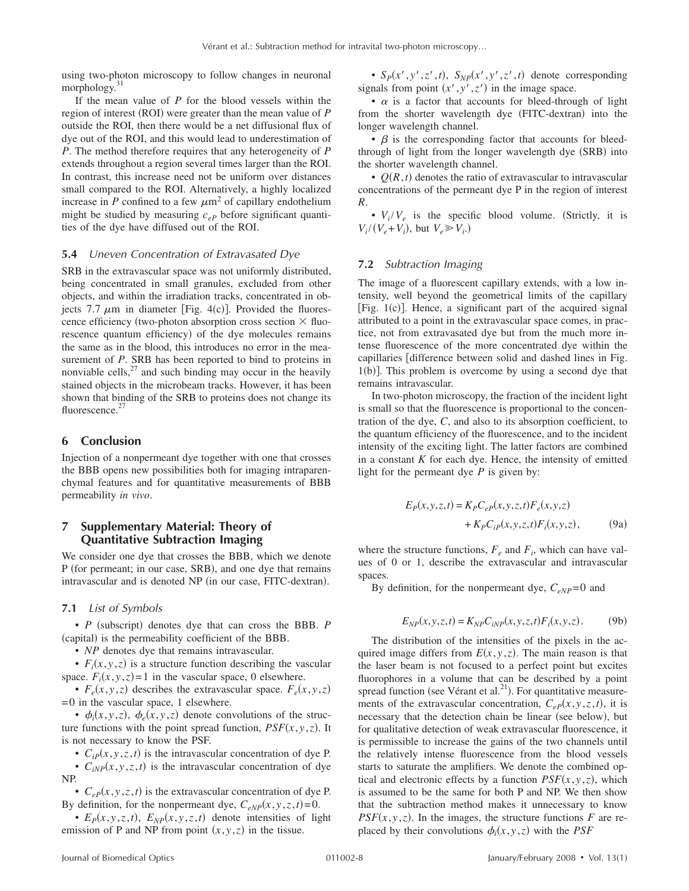using two-photon microscopy to follow changes in neuronal morphology.<sup>31</sup>

If the mean value of *P* for the blood vessels within the region of interest (ROI) were greater than the mean value of *P* outside the ROI, then there would be a net diffusional flux of dye out of the ROI, and this would lead to underestimation of *P*. The method therefore requires that any heterogeneity of *P* extends throughout a region several times larger than the ROI. In contrast, this increase need not be uniform over distances small compared to the ROI. Alternatively, a highly localized increase in *P* confined to a few  $\mu$ m<sup>2</sup> of capillary endothelium might be studied by measuring  $c_{eP}$  before significant quantities of the dye have diffused out of the ROI.

#### **5.4** *Uneven Concentration of Extravasated Dye*

SRB in the extravascular space was not uniformly distributed, being concentrated in small granules, excluded from other objects, and within the irradiation tracks, concentrated in objects 7.7  $\mu$ m in diameter [Fig. 4(c)]. Provided the fluorescence efficiency (two-photon absorption cross section  $\times$  fluorescence quantum efficiency) of the dye molecules remains the same as in the blood, this introduces no error in the measurement of *P*. SRB has been reported to bind to proteins in nonviable cells, $^{27}$  and such binding may occur in the heavily stained objects in the microbeam tracks. However, it has been shown that binding of the SRB to proteins does not change its fluorescence.<sup>27</sup>

## **6 Conclusion**

Injection of a nonpermeant dye together with one that crosses the BBB opens new possibilities both for imaging intraparenchymal features and for quantitative measurements of BBB permeability *in vivo*.

## **7 Supplementary Material: Theory of Quantitative Subtraction Imaging**

We consider one dye that crosses the BBB, which we denote P (for permeant; in our case, SRB), and one dye that remains intravascular and is denoted NP (in our case, FITC-dextran).

#### **7.1** *List of Symbols*

• *P* (subscript) denotes dye that can cross the BBB. *P* (capital) is the permeability coefficient of the BBB.

• *NP* denotes dye that remains intravascular.

•  $F_i(x, y, z)$  is a structure function describing the vascular space.  $F_i(x, y, z) = 1$  in the vascular space, 0 elsewhere.

•  $F_e(x, y, z)$  describes the extravascular space.  $F_e(x, y, z)$  $= 0$  in the vascular space, 1 elsewhere.

•  $\phi_i(x, y, z)$ ,  $\phi_e(x, y, z)$  denote convolutions of the structure functions with the point spread function,  $PSF(x, y, z)$ . It is not necessary to know the PSF.

•  $C_{i}P(x, y, z, t)$  is the intravascular concentration of dye P.

•  $C_{iNP}(x, y, z, t)$  is the intravascular concentration of dye NP.

•  $C_{eP}(x, y, z, t)$  is the extravascular concentration of dye P. By definition, for the nonpermeant dye,  $C_{eNP}(x, y, z, t) = 0$ .

•  $E_P(x, y, z, t)$ ,  $E_{NP}(x, y, z, t)$  denote intensities of light emission of P and NP from point  $(x, y, z)$  in the tissue.

•  $S_P(x', y', z', t)$ ,  $S_{NP}(x', y', z', t)$  denote corresponding signals from point  $(x', y', z')$  in the image space.

•  $\alpha$  is a factor that accounts for bleed-through of light from the shorter wavelength dye (FITC-dextran) into the longer wavelength channel.

•  $\beta$  is the corresponding factor that accounts for bleedthrough of light from the longer wavelength dye (SRB) into the shorter wavelength channel.

•  $Q(R, t)$  denotes the ratio of extravascular to intravascular concentrations of the permeant dye P in the region of interest *R*.

•  $V_i/V_e$  is the specific blood volume. (Strictly, it is  $V_i / (V_e + V_i)$ , but  $V_e \ge V_i$ .)

## **7.2** *Subtraction Imaging*

The image of a fluorescent capillary extends, with a low intensity, well beyond the geometrical limits of the capillary [Fig. 1(c)]. Hence, a significant part of the acquired signal attributed to a point in the extravascular space comes, in practice, not from extravasated dye but from the much more intense fluorescence of the more concentrated dye within the capillaries [difference between solid and dashed lines in Fig. 1(b)]. This problem is overcome by using a second dye that remains intravascular.

In two-photon microscopy, the fraction of the incident light is small so that the fluorescence is proportional to the concentration of the dye, *C*, and also to its absorption coefficient, to the quantum efficiency of the fluorescence, and to the incident intensity of the exciting light. The latter factors are combined in a constant *K* for each dye. Hence, the intensity of emitted light for the permeant dye *P* is given by:

$$
E_P(x, y, z, t) = K_P C_{eP}(x, y, z, t) F_e(x, y, z)
$$
  
+  $K_P C_{iP}(x, y, z, t) F_i(x, y, z)$ , (9a)

where the structure functions,  $F_e$  and  $F_i$ , which can have values of 0 or 1, describe the extravascular and intravascular spaces.

By definition, for the nonpermeant dye,  $C_{eNP}$ =0 and

$$
E_{NP}(x, y, z, t) = K_{NP} C_{iNP}(x, y, z, t) F_i(x, y, z).
$$
 (9b)

The distribution of the intensities of the pixels in the acquired image differs from  $E(x, y, z)$ . The main reason is that the laser beam is not focused to a perfect point but excites fluorophores in a volume that can be described by a point spread function (see Vérant et al.<sup>21</sup>). For quantitative measurements of the extravascular concentration,  $C_{eP}(x, y, z, t)$ , it is necessary that the detection chain be linear (see below), but for qualitative detection of weak extravascular fluorescence, it is permissible to increase the gains of the two channels until the relatively intense fluorescence from the blood vessels starts to saturate the amplifiers. We denote the combined optical and electronic effects by a function  $PSF(x, y, z)$ , which is assumed to be the same for both P and NP. We then show that the subtraction method makes it unnecessary to know  $PSF(x, y, z)$ . In the images, the structure functions *F* are replaced by their convolutions  $\phi_i(x, y, z)$  with the *PSF*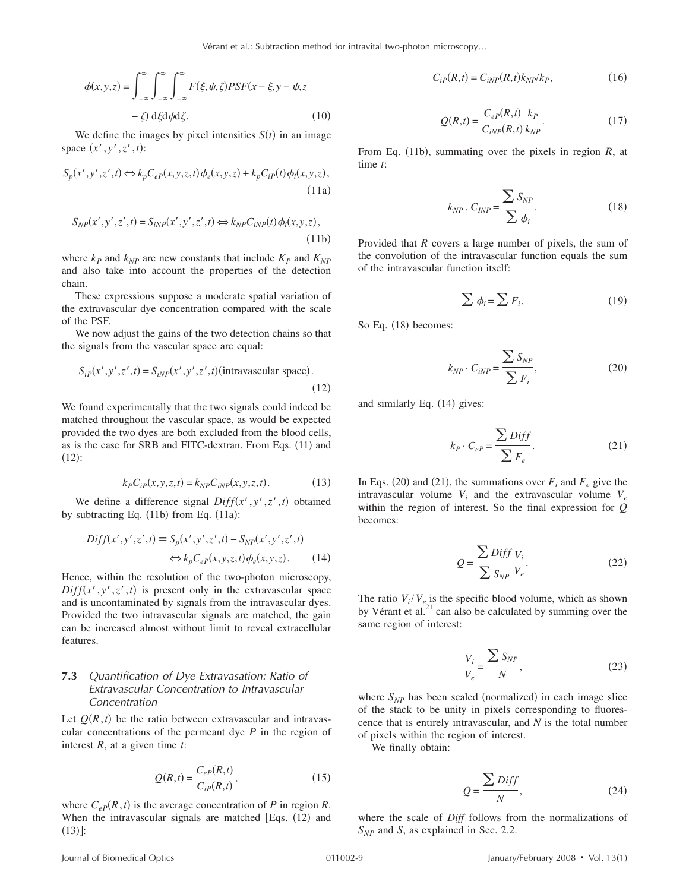$$
\phi(x, y, z) = \int_{-\infty}^{\infty} \int_{-\infty}^{\infty} \int_{-\infty}^{\infty} F(\xi, \psi, \zeta) PSF(x - \xi, y - \psi, z - \zeta) d\xi d\psi d\zeta.
$$
\n(10)

We define the images by pixel intensities  $S(t)$  in an image space  $(x', y', z', t)$ :

$$
S_p(x', y', z', t) \Longleftrightarrow k_p C_{eP}(x, y, z, t) \phi_e(x, y, z) + k_p C_{iP}(t) \phi_i(x, y, z),
$$
\n(11a)

$$
S_{NP}(x', y', z', t) = S_{iNP}(x', y', z', t) \Longleftrightarrow k_{NP} C_{iNP}(t) \phi_i(x, y, z),
$$
\n(11b)

where  $k_P$  and  $k_{NP}$  are new constants that include  $K_P$  and  $K_{NP}$ and also take into account the properties of the detection chain.

These expressions suppose a moderate spatial variation of the extravascular dye concentration compared with the scale of the PSF.

We now adjust the gains of the two detection chains so that the signals from the vascular space are equal:

$$
S_{iP}(x', y', z', t) = S_{iNP}(x', y', z', t)
$$
 (intravascular space). (12)

We found experimentally that the two signals could indeed be matched throughout the vascular space, as would be expected provided the two dyes are both excluded from the blood cells, as is the case for SRB and FITC-dextran. From Eqs. (11) and  $(12)$ :

$$
k_P C_{iP}(x, y, z, t) = k_{NP} C_{iNP}(x, y, z, t).
$$
 (13)

We define a difference signal  $Diff(x', y', z', t)$  obtained by subtracting Eq.  $(11b)$  from Eq.  $(11a)$ :

$$
Diff(x', y', z', t) \equiv S_p(x', y', z', t) - S_{NP}(x', y', z', t)
$$
  

$$
\Leftrightarrow k_p C_{ep}(x, y, z, t) \phi_e(x, y, z). \tag{14}
$$

Hence, within the resolution of the two-photon microscopy,  $Diff(x', y', z', t)$  is present only in the extravascular space and is uncontaminated by signals from the intravascular dyes. Provided the two intravascular signals are matched, the gain can be increased almost without limit to reveal extracellular features.

## **7.3** *Quantification of Dye Extravasation: Ratio of Extravascular Concentration to Intravascular Concentration*

Let  $Q(R, t)$  be the ratio between extravascular and intravascular concentrations of the permeant dye  $P$  in the region of interest *R*, at a given time *t*:

$$
Q(R,t) = \frac{C_{eP}(R,t)}{C_{iP}(R,t)},
$$
\n(15)

where  $C_{eP}(R, t)$  is the average concentration of *P* in region *R*. When the intravascular signals are matched [Eqs. (12) and  $(13)$ :

$$
C_{iP}(R,t) = C_{iNP}(R,t)k_{NP}/k_P,
$$
\n(16)

$$
Q(R,t) = \frac{C_{eP}(R,t)}{C_{iNP}(R,t)} \frac{k_P}{k_{NP}}.
$$
 (17)

From Eq.  $(11b)$ , summating over the pixels in region  $R$ , at time *t*:

$$
k_{NP} \cdot C_{INP} = \frac{\sum S_{NP}}{\sum \phi_i}.
$$
 (18)

Provided that *R* covers a large number of pixels, the sum of the convolution of the intravascular function equals the sum of the intravascular function itself:

$$
\sum \phi_i = \sum F_i. \tag{19}
$$

So Eq. (18) becomes:

$$
k_{NP} \cdot C_{iNP} = \frac{\sum S_{NP}}{\sum F_i},\tag{20}
$$

and similarly Eq. (14) gives:

$$
k_P \cdot C_{eP} = \frac{\sum Diff}{\sum F_e}.
$$
 (21)

In Eqs. (20) and (21), the summations over  $F_i$  and  $F_e$  give the intravascular volume  $V_i$  and the extravascular volume  $V_e$ within the region of interest. So the final expression for *Q* becomes:

$$
Q = \frac{\sum Diff_{V_i}}{\sum S_{NP} V_e}.
$$
 (22)

The ratio  $V_i / V_e$  is the specific blood volume, which as shown by Vérant et al.<sup>21</sup> can also be calculated by summing over the same region of interest:

$$
\frac{V_i}{V_e} = \frac{\sum S_{NP}}{N},\tag{23}
$$

where  $S_{NP}$  has been scaled (normalized) in each image slice of the stack to be unity in pixels corresponding to fluorescence that is entirely intravascular, and *N* is the total number of pixels within the region of interest.

We finally obtain:

$$
Q = \frac{\sum Diff}{N},\tag{24}
$$

where the scale of *Diff* follows from the normalizations of *SNP* and *S*, as explained in Sec. 2.2.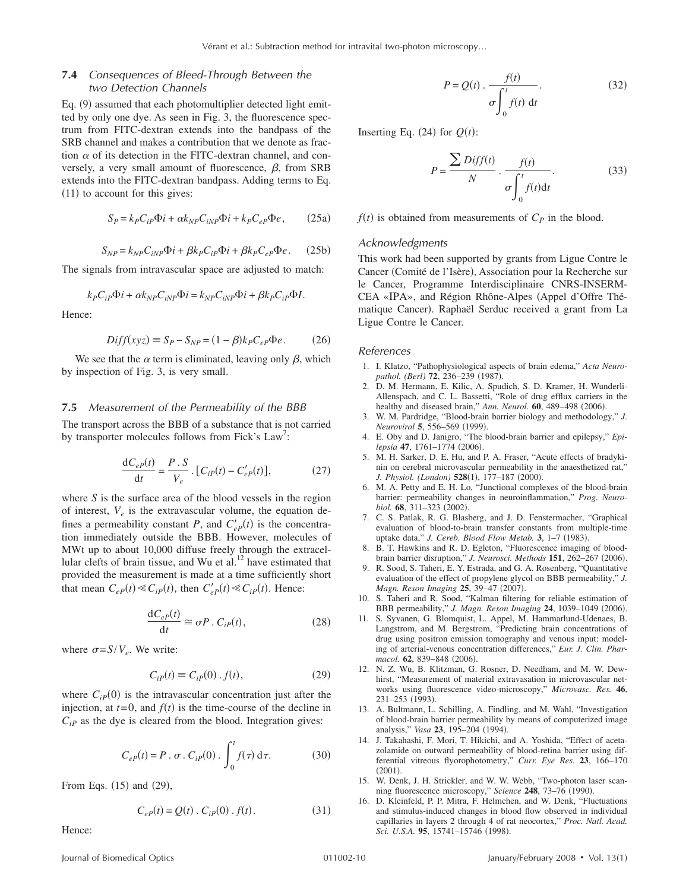## **7.4** *Consequences of Bleed-Through Between the two Detection Channels*

Eq. (9) assumed that each photomultiplier detected light emitted by only one dye. As seen in Fig. 3, the fluorescence spectrum from FITC-dextran extends into the bandpass of the SRB channel and makes a contribution that we denote as fraction  $\alpha$  of its detection in the FITC-dextran channel, and conversely, a very small amount of fluorescence,  $\beta$ , from SRB extends into the FITC-dextran bandpass. Adding terms to Eq.  $(11)$  to account for this gives:

$$
S_P = k_P C_{ip} \Phi i + \alpha k_{NP} C_{iNP} \Phi i + k_P C_{eP} \Phi e, \qquad (25a)
$$

$$
S_{NP} = k_{NP} C_{iNP} \Phi i + \beta k_P C_{iP} \Phi i + \beta k_P C_{eP} \Phi e. \quad (25b)
$$

The signals from intravascular space are adjusted to match:

$$
k_P C_{ip} \Phi i + \alpha k_{NP} C_{iNP} \Phi i = k_{NP} C_{iNP} \Phi i + \beta k_P C_{ip} \Phi I.
$$

Hence:

$$
Diff(xyz) \equiv S_P - S_{NP} = (1 - \beta)k_P C_{eP} \Phi e. \tag{26}
$$

We see that the  $\alpha$  term is eliminated, leaving only  $\beta$ , which by inspection of Fig. 3, is very small.

#### **7.5** *Measurement of the Permeability of the BBB*

The transport across the BBB of a substance that is not carried by transporter molecules follows from Fick's  $Law^7$ :

$$
\frac{dC_{eP}(t)}{dt} = \frac{P \cdot S}{V_e} \cdot [C_{iP}(t) - C'_{eP}(t)],
$$
 (27)

where *S* is the surface area of the blood vessels in the region of interest,  $V_e$  is the extravascular volume, the equation defines a permeability constant *P*, and  $C'_{eP}(t)$  is the concentration immediately outside the BBB. However, molecules of MWt up to about 10,000 diffuse freely through the extracellular clefts of brain tissue, and Wu et al. $^{12}$  have estimated that provided the measurement is made at a time sufficiently short that mean  $C_{eP}(t) \ll C_{iP}(t)$ , then  $C'_{eP}(t) \ll C_{iP}(t)$ . Hence:

$$
\frac{\mathrm{d}C_{eP}(t)}{\mathrm{d}t} \cong \sigma P \cdot C_{iP}(t),\tag{28}
$$

where  $\sigma = S/V_e$ . We write:

$$
C_{iP}(t) \equiv C_{iP}(0) \cdot f(t), \qquad (29)
$$

where  $C_{iP}(0)$  is the intravascular concentration just after the injection, at  $t = 0$ , and  $f(t)$  is the time-course of the decline in  $C_{iP}$  as the dye is cleared from the blood. Integration gives:

$$
C_{eP}(t) = P \cdot \sigma \cdot C_{iP}(0) \cdot \int_0^t f(\tau) d\tau.
$$
 (30)

From Eqs.  $(15)$  and  $(29)$ ,

$$
C_{eP}(t) = Q(t) \cdot C_{iP}(0) \cdot f(t). \tag{31}
$$

Hence:

 $P = Q(t)$ .  $\frac{f(t)}{ct}$  $\frac{f(t)}{\sigma\int_0^t f(t)}$ *t ft*- d*t*  $.$  (32)

Inserting Eq.  $(24)$  for  $Q(t)$ :

$$
P = \frac{\sum Diff(t)}{N} \cdot \frac{f(t)}{\sigma \int_{0}^{t} f(t) dt}.
$$
 (33)

 $f(t)$  is obtained from measurements of  $C_P$  in the blood.

#### *Acknowledgments*

This work had been supported by grants from Ligue Contre le Cancer (Comité de l'Isère), Association pour la Recherche sur le Cancer, Programme Interdisciplinaire CNRS-INSERM-CEA «IPA», and Région Rhône-Alpes (Appel d'Offre Thématique Cancer). Raphaël Serduc received a grant from La Ligue Contre le Cancer.

#### *References*

- 1. I. Klatzo, "Pathophysiological aspects of brain edema," *Acta Neuro*pathol. (Berl) **72**, 236-239 (1987).
- 2. D. M. Hermann, E. Kilic, A. Spudich, S. D. Kramer, H. Wunderli-Allenspach, and C. L. Bassetti, "Role of drug efflux carriers in the healthy and diseased brain," Ann. Neurol. **60**, 489-498 (2006).
- 3. W. M. Pardridge, "Blood-brain barrier biology and methodology," *J. Neurovirol* **5**, 556–569 (1999).
- 4. E. Oby and D. Janigro, "The blood-brain barrier and epilepsy," *Epi*lepsia 47, 1761-1774 (2006).
- 5. M. H. Sarker, D. E. Hu, and P. A. Fraser, "Acute effects of bradykinin on cerebral microvascular permeability in the anaesthetized rat," J. Physiol. (London) **528**(1), 177-187 (2000).
- 6. M. A. Petty and E. H. Lo, "Junctional complexes of the blood-brain barrier: permeability changes in neuroinflammation," *Prog. Neuro*biol. **68**, 311-323 (2002).
- 7. C. S. Patlak, R. G. Blasberg, and J. D. Fenstermacher, "Graphical evaluation of blood-to-brain transfer constants from multiple-time uptake data," *J. Cereb. Blood Flow Metab.* 3, 1-7 (1983).
- 8. B. T. Hawkins and R. D. Egleton, "Fluorescence imaging of bloodbrain barrier disruption," J. Neurosci. Methods 151, 262-267 (2006).
- 9. R. Sood, S. Taheri, E. Y. Estrada, and G. A. Rosenberg, "Quantitative evaluation of the effect of propylene glycol on BBB permeability," *J.* Magn. Reson Imaging 25, 39-47 (2007).
- 10. S. Taheri and R. Sood, "Kalman filtering for reliable estimation of BBB permeability," J. Magn. Reson Imaging 24, 1039-1049 (2006).
- 11. S. Syvanen, G. Blomquist, L. Appel, M. Hammarlund-Udenaes, B. Langstrom, and M. Bergstrom, "Predicting brain concentrations of drug using positron emission tomography and venous input: modeling of arterial-venous concentration differences," *Eur. J. Clin. Phar*macol. **62**, 839-848 (2006).
- 12. N. Z. Wu, B. Klitzman, G. Rosner, D. Needham, and M. W. Dewhirst, "Measurement of material extravasation in microvascular networks using fluorescence video-microscopy," *Microvasc. Res.* **46**, 231-253 (1993).
- 13. A. Bultmann, L. Schilling, A. Findling, and M. Wahl, "Investigation of blood-brain barrier permeability by means of computerized image analysis," Vasa 23, 195-204 (1994).
- 14. J. Takahashi, F. Mori, T. Hikichi, and A. Yoshida, "Effect of acetazolamide on outward permeability of blood-retina barrier using differential vitreous flyorophotometry," *Curr. Eye Res.* **23**, 166–170  $(2001).$
- 15. W. Denk, J. H. Strickler, and W. W. Webb, "Two-photon laser scanning fluorescence microscopy," Science 248, 73-76 (1990).
- 16. D. Kleinfeld, P. P. Mitra, F. Helmchen, and W. Denk, "Fluctuations and stimulus-induced changes in blood flow observed in individual capillaries in layers 2 through 4 of rat neocortex," *Proc. Natl. Acad.* Sci. U.S.A. 95, 15741-15746 (1998).